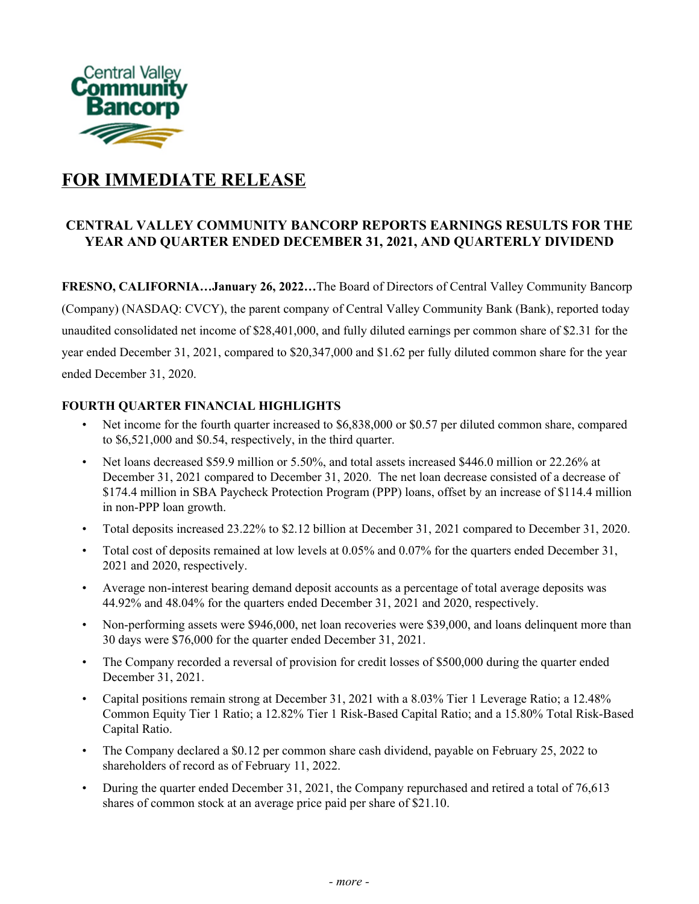

# **FOR IMMEDIATE RELEASE**

## **CENTRAL VALLEY COMMUNITY BANCORP REPORTS EARNINGS RESULTS FOR THE YEAR AND QUARTER ENDED DECEMBER 31, 2021, AND QUARTERLY DIVIDEND**

 **FRESNO, CALIFORNIA…January 26, 2022…**The Board of Directors of Central Valley Community Bancorp (Company) (NASDAQ: CVCY), the parent company of Central Valley Community Bank (Bank), reported today unaudited consolidated net income of \$28,401,000, and fully diluted earnings per common share of \$2.31 for the year ended December 31, 2021, compared to \$20,347,000 and \$1.62 per fully diluted common share for the year ended December 31, 2020.

## **FOURTH QUARTER FINANCIAL HIGHLIGHTS**

- • Net income for the fourth quarter increased to \$6,838,000 or \$0.57 per diluted common share, compared to \$6,521,000 and \$0.54, respectively, in the third quarter.
- December 31, 2021 compared to December 31, 2020. The net loan decrease consisted of a decrease of \$174.4 million in SBA Paycheck Protection Program (PPP) loans, offset by an increase of \$114.4 million in non-PPP loan growth. • Net loans decreased \$59.9 million or 5.50%, and total assets increased \$446.0 million or 22.26% at
- Total deposits increased 23.22% to \$2.12 billion at December 31, 2021 compared to December 31, 2020.
- • Total cost of deposits remained at low levels at 0.05% and 0.07% for the quarters ended December 31, 2021 and 2020, respectively.
- • Average non-interest bearing demand deposit accounts as a percentage of total average deposits was 44.92% and 48.04% for the quarters ended December 31, 2021 and 2020, respectively.
- • Non-performing assets were \$946,000, net loan recoveries were \$39,000, and loans delinquent more than 30 days were \$76,000 for the quarter ended December 31, 2021.
- • The Company recorded a reversal of provision for credit losses of \$500,000 during the quarter ended December 31, 2021.
- • Capital positions remain strong at December 31, 2021 with a 8.03% Tier 1 Leverage Ratio; a 12.48% Common Equity Tier 1 Ratio; a 12.82% Tier 1 Risk-Based Capital Ratio; and a 15.80% Total Risk-Based Capital Ratio.
- The Company declared a \$0.12 per common share cash dividend, payable on February 25, 2022 to shareholders of record as of February 11, 2022.
- During the quarter ended December 31, 2021, the Company repurchased and retired a total of 76,613 shares of common stock at an average price paid per share of \$21.10.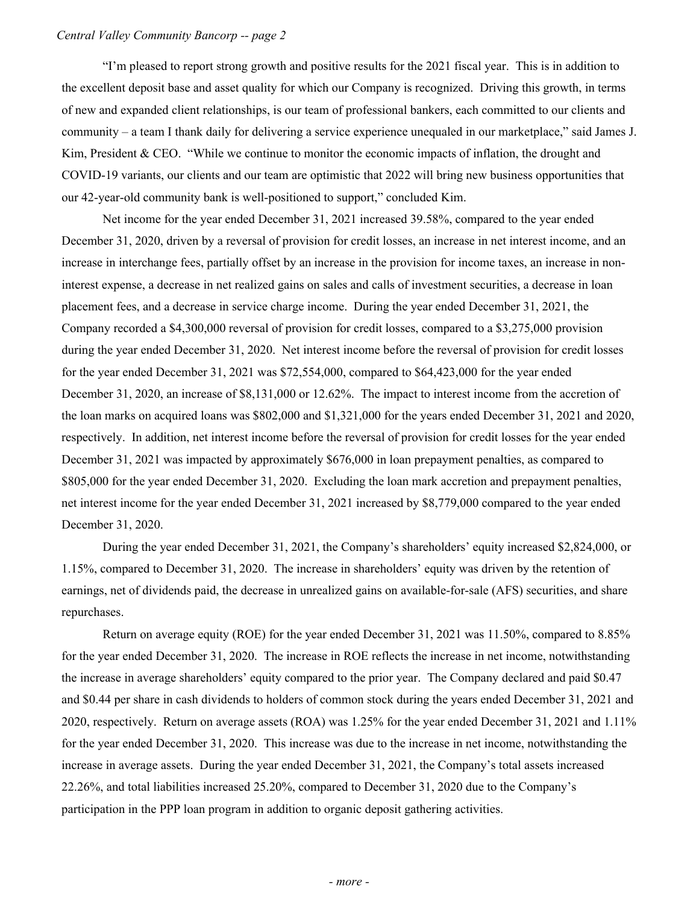"I'm pleased to report strong growth and positive results for the 2021 fiscal year. This is in addition to the excellent deposit base and asset quality for which our Company is recognized. Driving this growth, in terms of new and expanded client relationships, is our team of professional bankers, each committed to our clients and community – a team I thank daily for delivering a service experience unequaled in our marketplace," said James J. Kim, President & CEO. "While we continue to monitor the economic impacts of inflation, the drought and COVID-19 variants, our clients and our team are optimistic that 2022 will bring new business opportunities that our 42-year-old community bank is well-positioned to support," concluded Kim.

 Net income for the year ended December 31, 2021 increased 39.58%, compared to the year ended December 31, 2020, driven by a reversal of provision for credit losses, an increase in net interest income, and an increase in interchange fees, partially offset by an increase in the provision for income taxes, an increase in non- interest expense, a decrease in net realized gains on sales and calls of investment securities, a decrease in loan placement fees, and a decrease in service charge income. During the year ended December 31, 2021, the Company recorded a \$4,300,000 reversal of provision for credit losses, compared to a \$3,275,000 provision during the year ended December 31, 2020. Net interest income before the reversal of provision for credit losses for the year ended December 31, 2021 was \$72,554,000, compared to \$64,423,000 for the year ended December 31, 2020, an increase of \$8,131,000 or 12.62%. The impact to interest income from the accretion of the loan marks on acquired loans was \$802,000 and \$1,321,000 for the years ended December 31, 2021 and 2020, respectively. In addition, net interest income before the reversal of provision for credit losses for the year ended December 31, 2021 was impacted by approximately \$676,000 in loan prepayment penalties, as compared to \$805,000 for the year ended December 31, 2020. Excluding the loan mark accretion and prepayment penalties, net interest income for the year ended December 31, 2021 increased by \$8,779,000 compared to the year ended December 31, 2020.

 During the year ended December 31, 2021, the Company's shareholders' equity increased \$2,824,000, or 1.15%, compared to December 31, 2020. The increase in shareholders' equity was driven by the retention of earnings, net of dividends paid, the decrease in unrealized gains on available-for-sale (AFS) securities, and share repurchases.

 Return on average equity (ROE) for the year ended December 31, 2021 was 11.50%, compared to 8.85% for the year ended December 31, 2020. The increase in ROE reflects the increase in net income, notwithstanding the increase in average shareholders' equity compared to the prior year. The Company declared and paid \$0.47 and \$0.44 per share in cash dividends to holders of common stock during the years ended December 31, 2021 and 2020, respectively. Return on average assets (ROA) was 1.25% for the year ended December 31, 2021 and 1.11% for the year ended December 31, 2020. This increase was due to the increase in net income, notwithstanding the increase in average assets. During the year ended December 31, 2021, the Company's total assets increased 22.26%, and total liabilities increased 25.20%, compared to December 31, 2020 due to the Company's participation in the PPP loan program in addition to organic deposit gathering activities.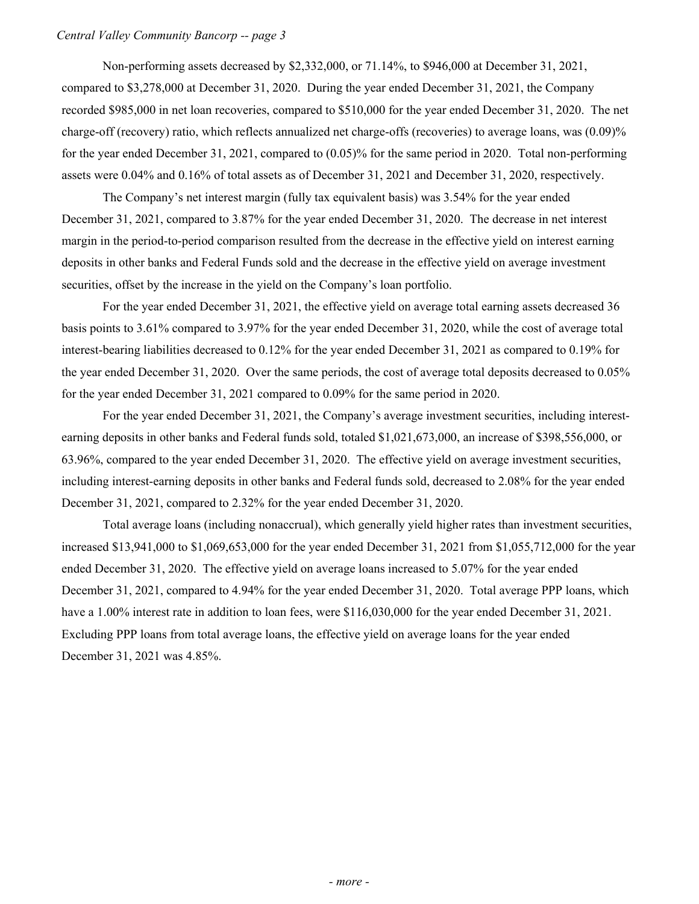Non-performing assets decreased by \$2,332,000, or 71.14%, to \$946,000 at December 31, 2021, compared to \$3,278,000 at December 31, 2020. During the year ended December 31, 2021, the Company recorded \$985,000 in net loan recoveries, compared to \$510,000 for the year ended December 31, 2020. The net charge-off (recovery) ratio, which reflects annualized net charge-offs (recoveries) to average loans, was (0.09)% for the year ended December 31, 2021, compared to (0.05)% for the same period in 2020. Total non-performing assets were 0.04% and 0.16% of total assets as of December 31, 2021 and December 31, 2020, respectively.

 The Company's net interest margin (fully tax equivalent basis) was 3.54% for the year ended December 31, 2021, compared to 3.87% for the year ended December 31, 2020. The decrease in net interest margin in the period-to-period comparison resulted from the decrease in the effective yield on interest earning deposits in other banks and Federal Funds sold and the decrease in the effective yield on average investment securities, offset by the increase in the yield on the Company's loan portfolio.

 For the year ended December 31, 2021, the effective yield on average total earning assets decreased 36 basis points to 3.61% compared to 3.97% for the year ended December 31, 2020, while the cost of average total interest-bearing liabilities decreased to 0.12% for the year ended December 31, 2021 as compared to 0.19% for the year ended December 31, 2020. Over the same periods, the cost of average total deposits decreased to 0.05% for the year ended December 31, 2021 compared to 0.09% for the same period in 2020.

 For the year ended December 31, 2021, the Company's average investment securities, including interest- earning deposits in other banks and Federal funds sold, totaled \$1,021,673,000, an increase of \$398,556,000, or 63.96%, compared to the year ended December 31, 2020. The effective yield on average investment securities, including interest-earning deposits in other banks and Federal funds sold, decreased to 2.08% for the year ended December 31, 2021, compared to 2.32% for the year ended December 31, 2020.

 Total average loans (including nonaccrual), which generally yield higher rates than investment securities, increased \$13,941,000 to \$1,069,653,000 for the year ended December 31, 2021 from \$1,055,712,000 for the year ended December 31, 2020. The effective yield on average loans increased to 5.07% for the year ended December 31, 2021, compared to 4.94% for the year ended December 31, 2020. Total average PPP loans, which have a 1.00% interest rate in addition to loan fees, were \$116,030,000 for the year ended December 31, 2021. Excluding PPP loans from total average loans, the effective yield on average loans for the year ended December 31, 2021 was 4.85%.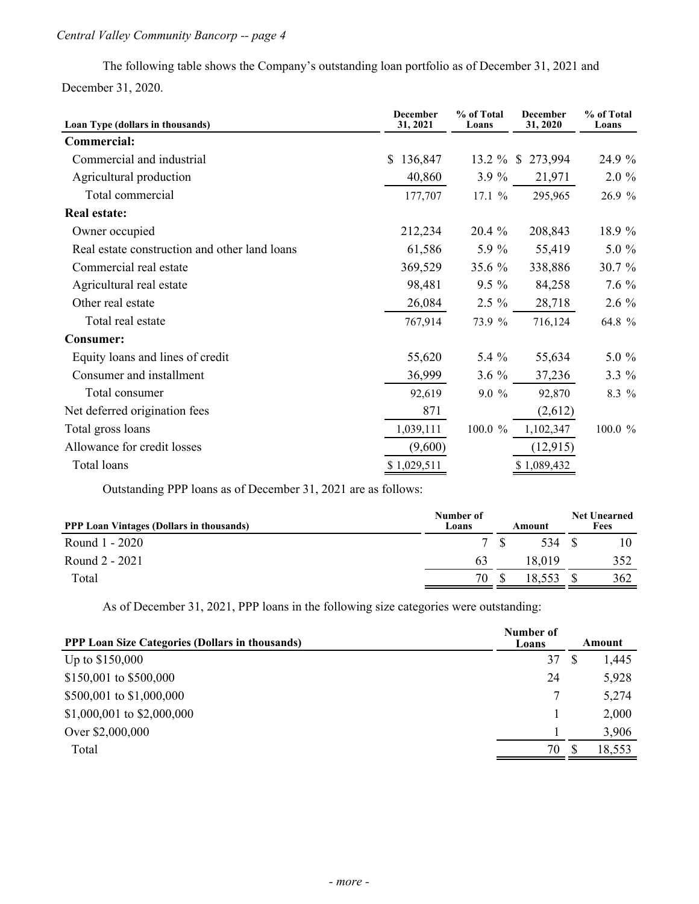The following table shows the Company's outstanding loan portfolio as of December 31, 2021 and December 31, 2020.

| Loan Type (dollars in thousands)              | <b>December</b><br>31, 2021 | % of Total<br>Loans | <b>December</b><br>31, 2020 | % of Total<br>Loans |
|-----------------------------------------------|-----------------------------|---------------------|-----------------------------|---------------------|
| Commercial:                                   |                             |                     |                             |                     |
| Commercial and industrial                     | 136,847<br>S.               | $13.2 \%$           | 273,994<br>$\mathbb{S}$     | 24.9 %              |
| Agricultural production                       | 40,860                      | $3.9\%$             | 21,971                      | $2.0 \%$            |
| Total commercial                              | 177,707                     | 17.1%               | 295,965                     | 26.9 %              |
| <b>Real estate:</b>                           |                             |                     |                             |                     |
| Owner occupied                                | 212,234                     | $20.4\%$            | 208,843                     | 18.9 %              |
| Real estate construction and other land loans | 61,586                      | 5.9 %               | 55,419                      | 5.0 %               |
| Commercial real estate                        | 369,529                     | 35.6 %              | 338,886                     | 30.7 %              |
| Agricultural real estate                      | 98,481                      | $9.5 \%$            | 84,258                      | $7.6\%$             |
| Other real estate                             | 26,084                      | $2.5 \%$            | 28,718                      | $2.6\%$             |
| Total real estate                             | 767,914                     | 73.9 %              | 716,124                     | 64.8 %              |
| <b>Consumer:</b>                              |                             |                     |                             |                     |
| Equity loans and lines of credit              | 55,620                      | 5.4 $%$             | 55,634                      | $5.0 \%$            |
| Consumer and installment                      | 36,999                      | $3.6\%$             | 37,236                      | $3.3\%$             |
| Total consumer                                | 92,619                      | $9.0 \%$            | 92,870                      | 8.3 %               |
| Net deferred origination fees                 | 871                         |                     | (2,612)                     |                     |
| Total gross loans                             | 1,039,111                   | 100.0 $%$           | 1,102,347                   | 100.0 %             |
| Allowance for credit losses                   | (9,600)                     |                     | (12, 915)                   |                     |
| Total loans                                   | \$1,029,511                 |                     | \$1,089,432                 |                     |

Outstanding PPP loans as of December 31, 2021 are as follows:

| <b>PPP Loan Vintages (Dollars in thousands)</b> | Number of<br>Loans | Amount | <b>Net Unearned</b><br>Fees |
|-------------------------------------------------|--------------------|--------|-----------------------------|
| Round 1 - 2020                                  | 7S                 | 534 \$ | 10                          |
| Round 2 - 2021                                  | 63                 | 18.019 | 352                         |
| Total                                           | 70                 | 18,553 | 362                         |

As of December 31, 2021, PPP loans in the following size categories were outstanding:

| <b>PPP Loan Size Categories (Dollars in thousands)</b> | Number of<br>Loans | Amount |
|--------------------------------------------------------|--------------------|--------|
| Up to \$150,000                                        | 37                 | 1,445  |
| \$150,001 to \$500,000                                 | 24                 | 5,928  |
| \$500,001 to \$1,000,000                               |                    | 5,274  |
| \$1,000,001 to \$2,000,000                             |                    | 2,000  |
| Over \$2,000,000                                       |                    | 3,906  |
| Total                                                  | 70                 | 18,553 |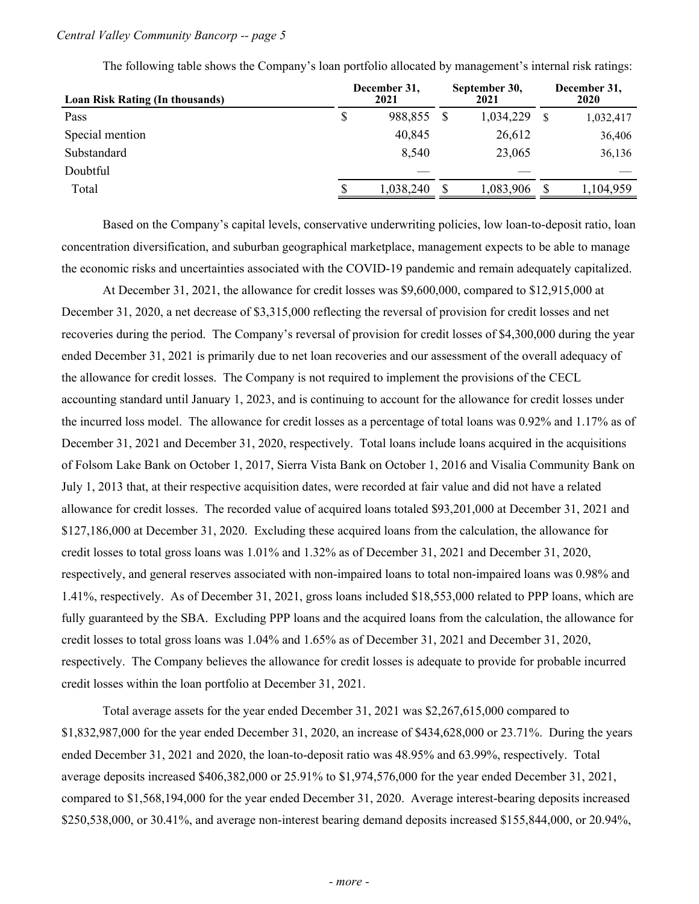| September 30,<br>2021<br>2021 |              |           |  | December 31,<br>2020 |
|-------------------------------|--------------|-----------|--|----------------------|
| 988,855                       |              | 1,034,229 |  | 1,032,417            |
| 40,845                        |              | 26,612    |  | 36,406               |
| 8,540                         |              | 23,065    |  | 36,136               |
|                               |              |           |  |                      |
| 1,038,240                     |              | 1,083,906 |  | 1,104,959            |
|                               | December 31, |           |  |                      |

The following table shows the Company's loan portfolio allocated by management's internal risk ratings:

 Based on the Company's capital levels, conservative underwriting policies, low loan-to-deposit ratio, loan concentration diversification, and suburban geographical marketplace, management expects to be able to manage the economic risks and uncertainties associated with the COVID-19 pandemic and remain adequately capitalized.

 At December 31, 2021, the allowance for credit losses was \$9,600,000, compared to \$12,915,000 at December 31, 2020, a net decrease of \$3,315,000 reflecting the reversal of provision for credit losses and net recoveries during the period. The Company's reversal of provision for credit losses of \$4,300,000 during the year ended December 31, 2021 is primarily due to net loan recoveries and our assessment of the overall adequacy of the allowance for credit losses. The Company is not required to implement the provisions of the CECL accounting standard until January 1, 2023, and is continuing to account for the allowance for credit losses under the incurred loss model. The allowance for credit losses as a percentage of total loans was 0.92% and 1.17% as of December 31, 2021 and December 31, 2020, respectively. Total loans include loans acquired in the acquisitions of Folsom Lake Bank on October 1, 2017, Sierra Vista Bank on October 1, 2016 and Visalia Community Bank on July 1, 2013 that, at their respective acquisition dates, were recorded at fair value and did not have a related allowance for credit losses. The recorded value of acquired loans totaled \$93,201,000 at December 31, 2021 and \$127,186,000 at December 31, 2020. Excluding these acquired loans from the calculation, the allowance for credit losses to total gross loans was 1.01% and 1.32% as of December 31, 2021 and December 31, 2020, respectively, and general reserves associated with non-impaired loans to total non-impaired loans was 0.98% and 1.41%, respectively. As of December 31, 2021, gross loans included \$18,553,000 related to PPP loans, which are fully guaranteed by the SBA. Excluding PPP loans and the acquired loans from the calculation, the allowance for credit losses to total gross loans was 1.04% and 1.65% as of December 31, 2021 and December 31, 2020, respectively. The Company believes the allowance for credit losses is adequate to provide for probable incurred credit losses within the loan portfolio at December 31, 2021.

 Total average assets for the year ended December 31, 2021 was \$2,267,615,000 compared to \$1,832,987,000 for the year ended December 31, 2020, an increase of \$434,628,000 or 23.71%. During the years ended December 31, 2021 and 2020, the loan-to-deposit ratio was 48.95% and 63.99%, respectively. Total average deposits increased \$406,382,000 or 25.91% to \$1,974,576,000 for the year ended December 31, 2021, compared to \$1,568,194,000 for the year ended December 31, 2020. Average interest-bearing deposits increased \$250,538,000, or 30.41%, and average non-interest bearing demand deposits increased \$155,844,000, or 20.94%,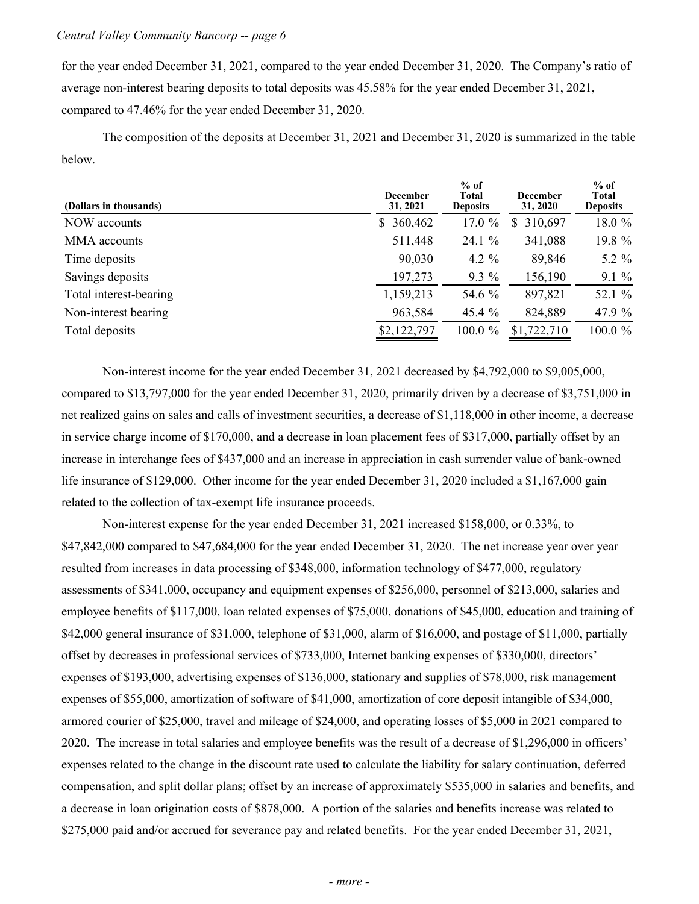for the year ended December 31, 2021, compared to the year ended December 31, 2020. The Company's ratio of average non-interest bearing deposits to total deposits was 45.58% for the year ended December 31, 2021, compared to 47.46% for the year ended December 31, 2020.

 The composition of the deposits at December 31, 2021 and December 31, 2020 is summarized in the table below.

| (Dollars in thousands) | <b>December</b><br>31, 2021 | $%$ of<br>Total<br><b>Deposits</b> | <b>December</b><br>31, 2020 | $%$ of<br>Total<br><b>Deposits</b> |
|------------------------|-----------------------------|------------------------------------|-----------------------------|------------------------------------|
| NOW accounts           | \$360,462                   | 17.0 $%$                           | \$<br>310,697               | 18.0 %                             |
| MMA accounts           | 511,448                     | 24.1 %                             | 341,088                     | 19.8 %                             |
| Time deposits          | 90,030                      | 4.2 $\%$                           | 89,846                      | 5.2 $\%$                           |
| Savings deposits       | 197,273                     | $9.3\%$                            | 156,190                     | $9.1\%$                            |
| Total interest-bearing | 1,159,213                   | 54.6 %                             | 897,821                     | 52.1 %                             |
| Non-interest bearing   | 963,584                     | 45.4%                              | 824,889                     | 47.9 %                             |
| Total deposits         | \$2,122,797                 | $100.0 \%$                         | \$1,722,710                 | 100.0 %                            |

 Non-interest income for the year ended December 31, 2021 decreased by \$4,792,000 to \$9,005,000, compared to \$13,797,000 for the year ended December 31, 2020, primarily driven by a decrease of \$3,751,000 in net realized gains on sales and calls of investment securities, a decrease of \$1,118,000 in other income, a decrease in service charge income of \$170,000, and a decrease in loan placement fees of \$317,000, partially offset by an increase in interchange fees of \$437,000 and an increase in appreciation in cash surrender value of bank-owned life insurance of \$129,000. Other income for the year ended December 31, 2020 included a \$1,167,000 gain related to the collection of tax-exempt life insurance proceeds.

 Non-interest expense for the year ended December 31, 2021 increased \$158,000, or 0.33%, to \$47,842,000 compared to \$47,684,000 for the year ended December 31, 2020. The net increase year over year resulted from increases in data processing of \$348,000, information technology of \$477,000, regulatory assessments of \$341,000, occupancy and equipment expenses of \$256,000, personnel of \$213,000, salaries and employee benefits of \$117,000, loan related expenses of \$75,000, donations of \$45,000, education and training of \$42,000 general insurance of \$31,000, telephone of \$31,000, alarm of \$16,000, and postage of \$11,000, partially offset by decreases in professional services of \$733,000, Internet banking expenses of \$330,000, directors' expenses of \$193,000, advertising expenses of \$136,000, stationary and supplies of \$78,000, risk management expenses of \$55,000, amortization of software of \$41,000, amortization of core deposit intangible of \$34,000, armored courier of \$25,000, travel and mileage of \$24,000, and operating losses of \$5,000 in 2021 compared to 2020. The increase in total salaries and employee benefits was the result of a decrease of \$1,296,000 in officers' expenses related to the change in the discount rate used to calculate the liability for salary continuation, deferred compensation, and split dollar plans; offset by an increase of approximately \$535,000 in salaries and benefits, and a decrease in loan origination costs of \$878,000. A portion of the salaries and benefits increase was related to \$275,000 paid and/or accrued for severance pay and related benefits. For the year ended December 31, 2021,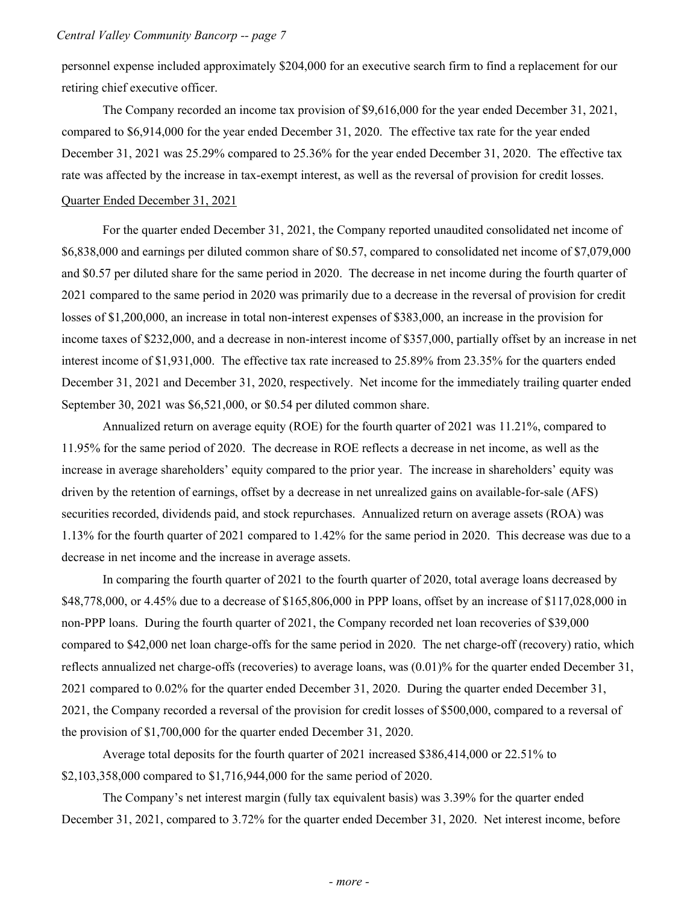personnel expense included approximately \$204,000 for an executive search firm to find a replacement for our retiring chief executive officer.

 The Company recorded an income tax provision of \$9,616,000 for the year ended December 31, 2021, compared to \$6,914,000 for the year ended December 31, 2020. The effective tax rate for the year ended December 31, 2021 was 25.29% compared to 25.36% for the year ended December 31, 2020. The effective tax rate was affected by the increase in tax-exempt interest, as well as the reversal of provision for credit losses. Quarter Ended December 31, 2021

 For the quarter ended December 31, 2021, the Company reported unaudited consolidated net income of \$6,838,000 and earnings per diluted common share of \$0.57, compared to consolidated net income of \$7,079,000 and \$0.57 per diluted share for the same period in 2020. The decrease in net income during the fourth quarter of 2021 compared to the same period in 2020 was primarily due to a decrease in the reversal of provision for credit losses of \$1,200,000, an increase in total non-interest expenses of \$383,000, an increase in the provision for income taxes of \$232,000, and a decrease in non-interest income of \$357,000, partially offset by an increase in net interest income of \$1,931,000. The effective tax rate increased to 25.89% from 23.35% for the quarters ended December 31, 2021 and December 31, 2020, respectively. Net income for the immediately trailing quarter ended September 30, 2021 was \$6,521,000, or \$0.54 per diluted common share.

 Annualized return on average equity (ROE) for the fourth quarter of 2021 was 11.21%, compared to 11.95% for the same period of 2020. The decrease in ROE reflects a decrease in net income, as well as the increase in average shareholders' equity compared to the prior year. The increase in shareholders' equity was driven by the retention of earnings, offset by a decrease in net unrealized gains on available-for-sale (AFS) securities recorded, dividends paid, and stock repurchases. Annualized return on average assets (ROA) was 1.13% for the fourth quarter of 2021 compared to 1.42% for the same period in 2020. This decrease was due to a decrease in net income and the increase in average assets.

 In comparing the fourth quarter of 2021 to the fourth quarter of 2020, total average loans decreased by \$48,778,000, or 4.45% due to a decrease of \$165,806,000 in PPP loans, offset by an increase of \$117,028,000 in non-PPP loans. During the fourth quarter of 2021, the Company recorded net loan recoveries of \$39,000 compared to \$42,000 net loan charge-offs for the same period in 2020. The net charge-off (recovery) ratio, which reflects annualized net charge-offs (recoveries) to average loans, was (0.01)% for the quarter ended December 31, 2021 compared to 0.02% for the quarter ended December 31, 2020. During the quarter ended December 31, 2021, the Company recorded a reversal of the provision for credit losses of \$500,000, compared to a reversal of the provision of \$1,700,000 for the quarter ended December 31, 2020.

 Average total deposits for the fourth quarter of 2021 increased \$386,414,000 or 22.51% to \$2,103,358,000 compared to \$1,716,944,000 for the same period of 2020.

 The Company's net interest margin (fully tax equivalent basis) was 3.39% for the quarter ended December 31, 2021, compared to 3.72% for the quarter ended December 31, 2020. Net interest income, before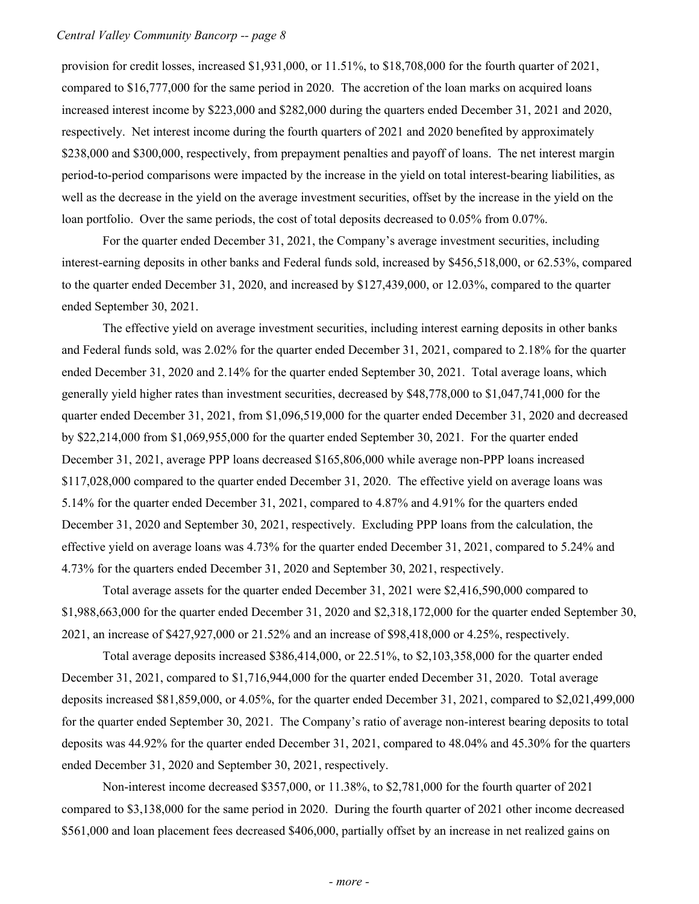provision for credit losses, increased \$1,931,000, or 11.51%, to \$18,708,000 for the fourth quarter of 2021, compared to \$16,777,000 for the same period in 2020. The accretion of the loan marks on acquired loans respectively. Net interest income during the fourth quarters of 2021 and 2020 benefited by approximately \$238,000 and \$300,000, respectively, from prepayment penalties and payoff of loans. The net interest margin period-to-period comparisons were impacted by the increase in the yield on total interest-bearing liabilities, as well as the decrease in the yield on the average investment securities, offset by the increase in the yield on the loan portfolio. Over the same periods, the cost of total deposits decreased to 0.05% from 0.07%. increased interest income by \$223,000 and \$282,000 during the quarters ended December 31, 2021 and 2020,

 For the quarter ended December 31, 2021, the Company's average investment securities, including interest-earning deposits in other banks and Federal funds sold, increased by \$456,518,000, or 62.53%, compared to the quarter ended December 31, 2020, and increased by \$127,439,000, or 12.03%, compared to the quarter ended September 30, 2021.

 The effective yield on average investment securities, including interest earning deposits in other banks and Federal funds sold, was 2.02% for the quarter ended December 31, 2021, compared to 2.18% for the quarter ended December 31, 2020 and 2.14% for the quarter ended September 30, 2021. Total average loans, which generally yield higher rates than investment securities, decreased by \$48,778,000 to \$1,047,741,000 for the quarter ended December 31, 2021, from \$1,096,519,000 for the quarter ended December 31, 2020 and decreased by \$22,214,000 from \$1,069,955,000 for the quarter ended September 30, 2021. For the quarter ended December 31, 2021, average PPP loans decreased \$165,806,000 while average non-PPP loans increased \$117,028,000 compared to the quarter ended December 31, 2020. The effective yield on average loans was 5.14% for the quarter ended December 31, 2021, compared to 4.87% and 4.91% for the quarters ended December 31, 2020 and September 30, 2021, respectively. Excluding PPP loans from the calculation, the effective yield on average loans was 4.73% for the quarter ended December 31, 2021, compared to 5.24% and 4.73% for the quarters ended December 31, 2020 and September 30, 2021, respectively.

 Total average assets for the quarter ended December 31, 2021 were \$2,416,590,000 compared to \$1,988,663,000 for the quarter ended December 31, 2020 and \$2,318,172,000 for the quarter ended September 30, 2021, an increase of \$427,927,000 or 21.52% and an increase of \$98,418,000 or 4.25%, respectively.

 Total average deposits increased \$386,414,000, or 22.51%, to \$2,103,358,000 for the quarter ended December 31, 2021, compared to \$1,716,944,000 for the quarter ended December 31, 2020. Total average deposits increased \$81,859,000, or 4.05%, for the quarter ended December 31, 2021, compared to \$2,021,499,000 for the quarter ended September 30, 2021. The Company's ratio of average non-interest bearing deposits to total deposits was 44.92% for the quarter ended December 31, 2021, compared to 48.04% and 45.30% for the quarters ended December 31, 2020 and September 30, 2021, respectively.

 Non-interest income decreased \$357,000, or 11.38%, to \$2,781,000 for the fourth quarter of 2021 compared to \$3,138,000 for the same period in 2020. During the fourth quarter of 2021 other income decreased \$561,000 and loan placement fees decreased \$406,000, partially offset by an increase in net realized gains on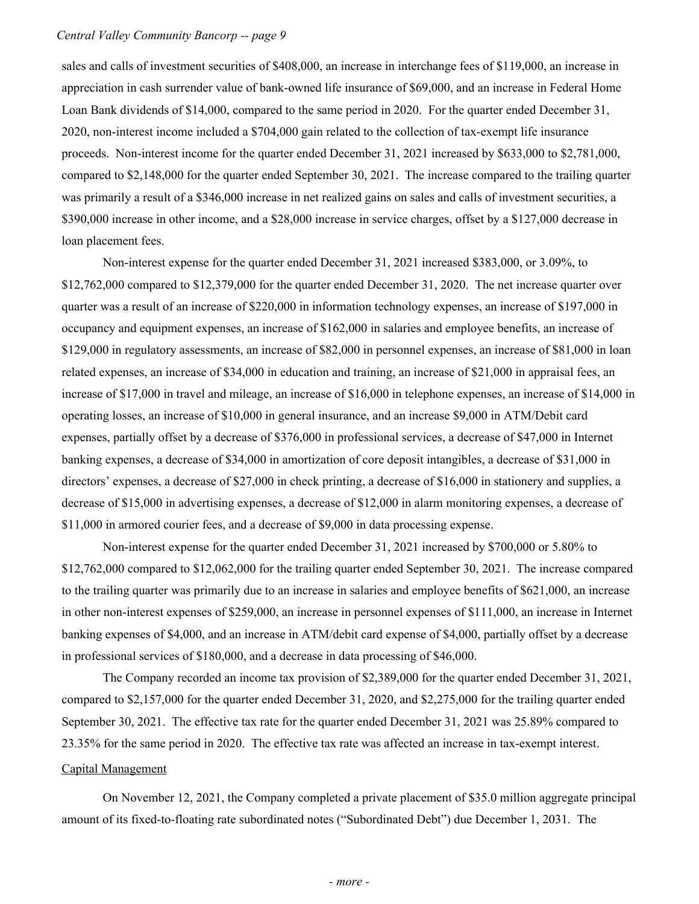sales and calls of investment securities of \$408,000, an increase in interchange fees of \$119,000, an increase in appreciation in cash surrender value of bank-owned life insurance of \$69,000, and an increase in Federal Home Loan Bank dividends of \$14,000, compared to the same period in 2020. For the quarter ended December 31, 2020, non-interest income included a \$704,000 gain related to the collection of tax-exempt life insurance proceeds. Non-interest income for the quarter ended December 31, 2021 increased by \$633,000 to \$2,781,000, compared to \$2,148,000 for the quarter ended September 30, 2021. The increase compared to the trailing quarter was primarily a result of a \$346,000 increase in net realized gains on sales and calls of investment securities, a \$390,000 increase in other income, and a \$28,000 increase in service charges, offset by a \$127,000 decrease in loan placement fees.

 Non-interest expense for the quarter ended December 31, 2021 increased \$383,000, or 3.09%, to \$12,762,000 compared to \$12,379,000 for the quarter ended December 31, 2020. The net increase quarter over quarter was a result of an increase of \$220,000 in information technology expenses, an increase of \$197,000 in occupancy and equipment expenses, an increase of \$162,000 in salaries and employee benefits, an increase of \$129,000 in regulatory assessments, an increase of \$82,000 in personnel expenses, an increase of \$81,000 in loan related expenses, an increase of \$34,000 in education and training, an increase of \$21,000 in appraisal fees, an increase of \$17,000 in travel and mileage, an increase of \$16,000 in telephone expenses, an increase of \$14,000 in operating losses, an increase of \$10,000 in general insurance, and an increase \$9,000 in ATM/Debit card expenses, partially offset by a decrease of \$376,000 in professional services, a decrease of \$47,000 in Internet banking expenses, a decrease of \$34,000 in amortization of core deposit intangibles, a decrease of \$31,000 in directors' expenses, a decrease of \$27,000 in check printing, a decrease of \$16,000 in stationery and supplies, a decrease of \$15,000 in advertising expenses, a decrease of \$12,000 in alarm monitoring expenses, a decrease of \$11,000 in armored courier fees, and a decrease of \$9,000 in data processing expense.

 Non-interest expense for the quarter ended December 31, 2021 increased by \$700,000 or 5.80% to \$12,762,000 compared to \$12,062,000 for the trailing quarter ended September 30, 2021. The increase compared to the trailing quarter was primarily due to an increase in salaries and employee benefits of \$621,000, an increase in other non-interest expenses of \$259,000, an increase in personnel expenses of \$111,000, an increase in Internet banking expenses of \$4,000, and an increase in ATM/debit card expense of \$4,000, partially offset by a decrease in professional services of \$180,000, and a decrease in data processing of \$46,000.

 The Company recorded an income tax provision of \$2,389,000 for the quarter ended December 31, 2021, compared to \$2,157,000 for the quarter ended December 31, 2020, and \$2,275,000 for the trailing quarter ended September 30, 2021. The effective tax rate for the quarter ended December 31, 2021 was 25.89% compared to 23.35% for the same period in 2020. The effective tax rate was affected an increase in tax-exempt interest.

## Capital Management

 On November 12, 2021, the Company completed a private placement of \$35.0 million aggregate principal amount of its fixed-to-floating rate subordinated notes ("Subordinated Debt") due December 1, 2031. The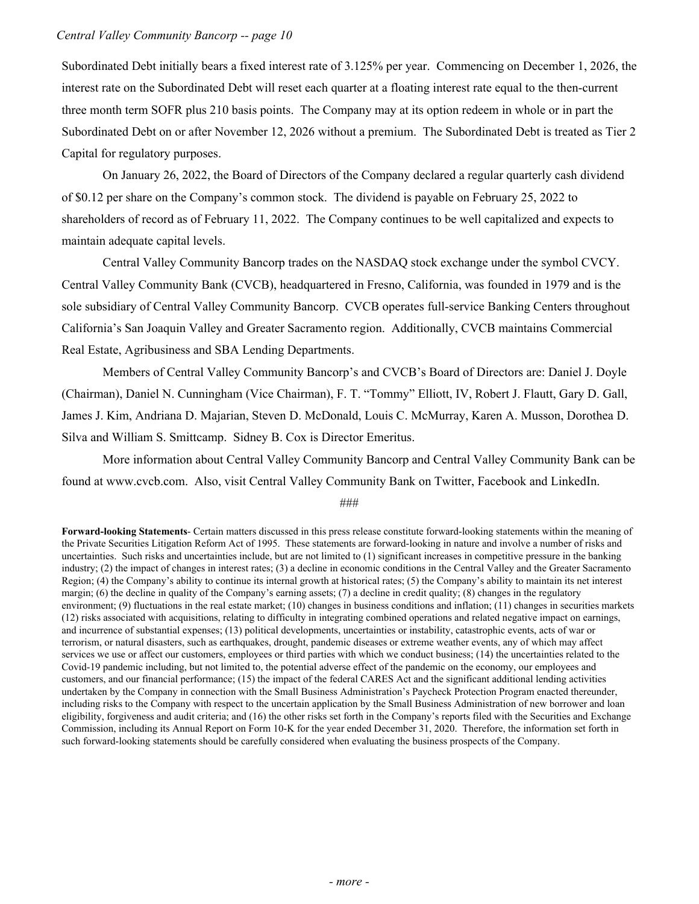Subordinated Debt initially bears a fixed interest rate of 3.125% per year. Commencing on December 1, 2026, the interest rate on the Subordinated Debt will reset each quarter at a floating interest rate equal to the then-current three month term SOFR plus 210 basis points. The Company may at its option redeem in whole or in part the Subordinated Debt on or after November 12, 2026 without a premium. The Subordinated Debt is treated as Tier 2 Capital for regulatory purposes.

 On January 26, 2022, the Board of Directors of the Company declared a regular quarterly cash dividend of \$0.12 per share on the Company's common stock. The dividend is payable on February 25, 2022 to shareholders of record as of February 11, 2022. The Company continues to be well capitalized and expects to maintain adequate capital levels.

 Central Valley Community Bancorp trades on the NASDAQ stock exchange under the symbol CVCY. Central Valley Community Bank (CVCB), headquartered in Fresno, California, was founded in 1979 and is the sole subsidiary of Central Valley Community Bancorp. CVCB operates full-service Banking Centers throughout California's San Joaquin Valley and Greater Sacramento region. Additionally, CVCB maintains Commercial Real Estate, Agribusiness and SBA Lending Departments.

 Members of Central Valley Community Bancorp's and CVCB's Board of Directors are: Daniel J. Doyle (Chairman), Daniel N. Cunningham (Vice Chairman), F. T. "Tommy" Elliott, IV, Robert J. Flautt, Gary D. Gall, James J. Kim, Andriana D. Majarian, Steven D. McDonald, Louis C. McMurray, Karen A. Musson, Dorothea D. Silva and William S. Smittcamp. Sidney B. Cox is Director Emeritus.

 More information about Central Valley Community Bancorp and Central Valley Community Bank can be found at <www.cvcb.com>. Also, visit Central Valley Community Bank on Twitter, Facebook and LinkedIn.

#### ###

 **Forward-looking Statements**- Certain matters discussed in this press release constitute forward-looking statements within the meaning of the Private Securities Litigation Reform Act of 1995. These statements are forward-looking in nature and involve a number of risks and uncertainties. Such risks and uncertainties include, but are not limited to (1) significant increases in competitive pressure in the banking industry; (2) the impact of changes in interest rates; (3) a decline in economic conditions in the Central Valley and the Greater Sacramento Region; (4) the Company's ability to continue its internal growth at historical rates; (5) the Company's ability to maintain its net interest margin; (6) the decline in quality of the Company's earning assets; (7) a decline in credit quality; (8) changes in the regulatory environment; (9) fluctuations in the real estate market; (10) changes in business conditions and inflation; (11) changes in securities markets (12) risks associated with acquisitions, relating to difficulty in integrating combined operations and related negative impact on earnings, and incurrence of substantial expenses; (13) political developments, uncertainties or instability, catastrophic events, acts of war or terrorism, or natural disasters, such as earthquakes, drought, pandemic diseases or extreme weather events, any of which may affect services we use or affect our customers, employees or third parties with which we conduct business; (14) the uncertainties related to the Covid-19 pandemic including, but not limited to, the potential adverse effect of the pandemic on the economy, our employees and customers, and our financial performance; (15) the impact of the federal CARES Act and the significant additional lending activities undertaken by the Company in connection with the Small Business Administration's Paycheck Protection Program enacted thereunder, including risks to the Company with respect to the uncertain application by the Small Business Administration of new borrower and loan eligibility, forgiveness and audit criteria; and (16) the other risks set forth in the Company's reports filed with the Securities and Exchange Commission, including its Annual Report on Form 10-K for the year ended December 31, 2020. Therefore, the information set forth in such forward-looking statements should be carefully considered when evaluating the business prospects of the Company.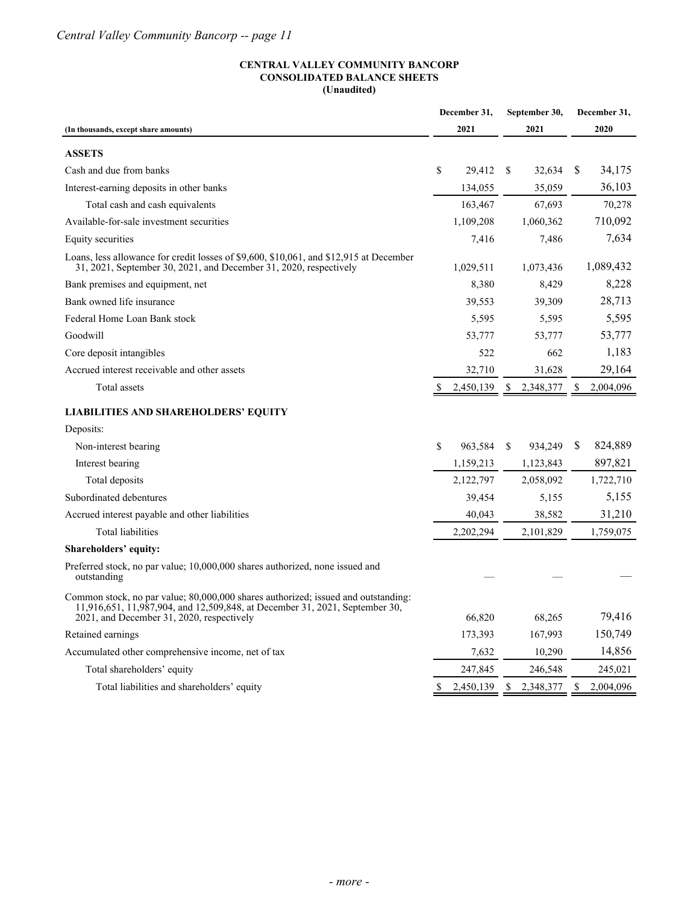#### **CENTRAL VALLEY COMMUNITY BANCORP CONSOLIDATED BALANCE SHEETS (Unaudited)**

|                                                                                                                                                                                                               | December 31,            | September 30,           | December 31,    |
|---------------------------------------------------------------------------------------------------------------------------------------------------------------------------------------------------------------|-------------------------|-------------------------|-----------------|
| (In thousands, except share amounts)                                                                                                                                                                          | 2021                    | 2021                    | 2020            |
| <b>ASSETS</b>                                                                                                                                                                                                 |                         |                         |                 |
| Cash and due from banks                                                                                                                                                                                       | <sup>\$</sup><br>29,412 | <sup>\$</sup><br>32,634 | S<br>34,175     |
| Interest-earning deposits in other banks                                                                                                                                                                      | 134,055                 | 35,059                  | 36,103          |
| Total cash and cash equivalents                                                                                                                                                                               | 163,467                 | 67,693                  | 70,278          |
| Available-for-sale investment securities                                                                                                                                                                      | 1,109,208               | 1,060,362               | 710,092         |
| Equity securities                                                                                                                                                                                             | 7,416                   | 7.486                   | 7,634           |
| Loans, less allowance for credit losses of \$9,600, \$10,061, and \$12,915 at December<br>31, 2021, September 30, 2021, and December 31, 2020, respectively                                                   | 1,029,511               | 1,073,436               | 1,089,432       |
| Bank premises and equipment, net                                                                                                                                                                              | 8,380                   | 8,429                   | 8,228           |
| Bank owned life insurance                                                                                                                                                                                     | 39,553                  | 39,309                  | 28,713          |
| Federal Home Loan Bank stock                                                                                                                                                                                  | 5,595                   | 5,595                   | 5,595           |
| Goodwill                                                                                                                                                                                                      | 53,777                  | 53,777                  | 53,777          |
| Core deposit intangibles                                                                                                                                                                                      | 522                     | 662                     | 1,183           |
| Accrued interest receivable and other assets                                                                                                                                                                  | 32,710                  | 31,628                  | 29,164          |
| Total assets                                                                                                                                                                                                  | 2,450,139               | 2,348,377               | 2,004,096<br>S  |
| <b>LIABILITIES AND SHAREHOLDERS' EQUITY</b>                                                                                                                                                                   |                         |                         |                 |
| Deposits:                                                                                                                                                                                                     |                         |                         |                 |
| Non-interest bearing                                                                                                                                                                                          | S<br>963,584            | \$<br>934,249           | S<br>824,889    |
| Interest bearing                                                                                                                                                                                              | 1,159,213               | 1,123,843               | 897,821         |
| Total deposits                                                                                                                                                                                                | 2,122,797               | 2,058,092               | 1,722,710       |
| Subordinated debentures                                                                                                                                                                                       | 39,454                  | 5,155                   | 5,155           |
| Accrued interest payable and other liabilities                                                                                                                                                                | 40,043                  | 38,582                  | 31,210          |
| Total liabilities                                                                                                                                                                                             | 2,202,294               | 2,101,829               | 1,759,075       |
| Shareholders' equity:                                                                                                                                                                                         |                         |                         |                 |
| Preferred stock, no par value; 10,000,000 shares authorized, none issued and<br>outstanding                                                                                                                   |                         |                         |                 |
| Common stock, no par value; 80,000,000 shares authorized; issued and outstanding:<br>11,916,651, 11,987,904, and 12,509,848, at December 31, 2021, September 30,<br>2021, and December 31, 2020, respectively | 66,820                  | 68,265                  | 79,416          |
| Retained earnings                                                                                                                                                                                             | 173,393                 | 167,993                 | 150,749         |
| Accumulated other comprehensive income, net of tax                                                                                                                                                            | 7,632                   | 10,290                  | 14,856          |
| Total shareholders' equity                                                                                                                                                                                    | 247,845                 | 246,548                 | 245,021         |
| Total liabilities and shareholders' equity                                                                                                                                                                    | 2,450,139               | \$<br>2,348,377         | \$<br>2,004,096 |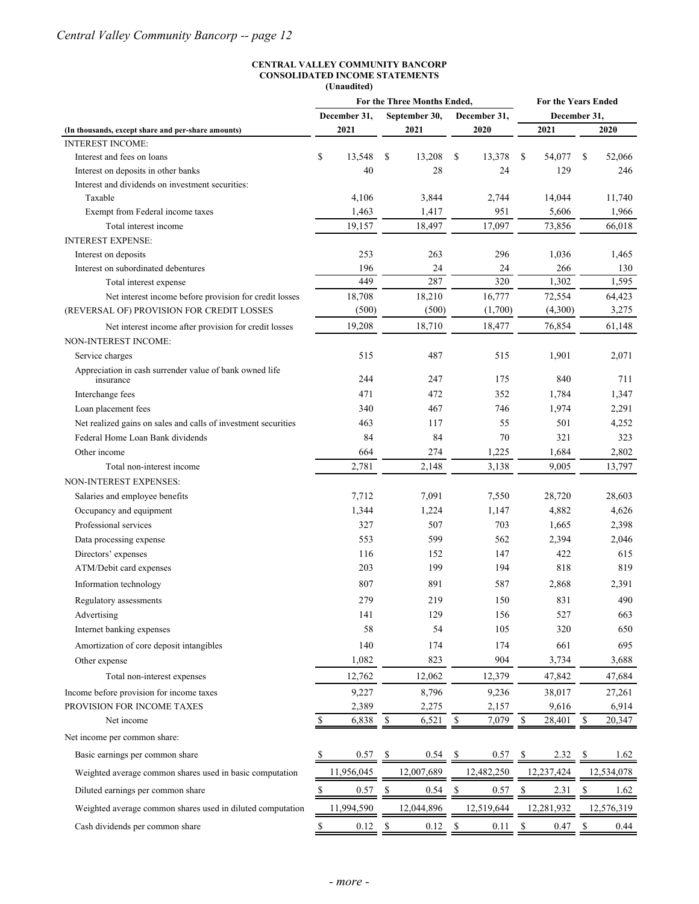#### **CENTRAL VALLEY COMMUNITY BANCORP CONSOLIDATED INCOME STATEMENTS (Unaudited)**

|                                                                                      | For the Three Months Ended,                                           |            |                           |                 |               | <b>For the Years Ended</b> |               |            |                    |            |  |  |
|--------------------------------------------------------------------------------------|-----------------------------------------------------------------------|------------|---------------------------|-----------------|---------------|----------------------------|---------------|------------|--------------------|------------|--|--|
|                                                                                      | December 31,<br>September 30,                                         |            | December 31,              |                 | December 31,  |                            |               |            |                    |            |  |  |
| (In thousands, except share and per-share amounts)                                   |                                                                       | 2021       |                           | 2021            |               | 2020                       |               | 2021       |                    | 2020       |  |  |
| <b>INTEREST INCOME:</b>                                                              |                                                                       |            |                           |                 |               |                            |               |            |                    |            |  |  |
| Interest and fees on loans                                                           | \$                                                                    | 13,548     | \$                        | 13,208          | \$            | 13,378                     | <sup>\$</sup> | 54,077     | <sup>\$</sup>      | 52,066     |  |  |
| Interest on deposits in other banks                                                  |                                                                       | 40         |                           | 28              |               | 24                         |               | 129        |                    | 246        |  |  |
| Interest and dividends on investment securities:                                     |                                                                       |            |                           |                 |               |                            |               |            |                    |            |  |  |
| Taxable                                                                              |                                                                       | 4,106      |                           | 3,844           |               | 2,744                      |               | 14,044     |                    | 11,740     |  |  |
| Exempt from Federal income taxes                                                     |                                                                       | 1,463      |                           | 1,417           |               | 951                        |               | 5,606      |                    | 1,966      |  |  |
| Total interest income                                                                |                                                                       | 19,157     |                           | 18,497          |               | 17,097                     |               | 73,856     |                    | 66,018     |  |  |
| <b>INTEREST EXPENSE:</b>                                                             |                                                                       |            |                           |                 |               |                            |               |            |                    |            |  |  |
| Interest on deposits                                                                 |                                                                       | 253        |                           | 263             |               | 296                        |               | 1,036      |                    | 1,465      |  |  |
| Interest on subordinated debentures                                                  |                                                                       | 196        |                           | 24              |               | 24                         |               | 266        |                    | 130        |  |  |
| Total interest expense                                                               |                                                                       | 449        |                           | 287             |               | 320                        |               | 1,302      |                    | 1,595      |  |  |
| Net interest income before provision for credit losses                               |                                                                       | 18,708     |                           | 18,210          |               | 16,777                     |               | 72,554     |                    | 64,423     |  |  |
| (REVERSAL OF) PROVISION FOR CREDIT LOSSES                                            |                                                                       | (500)      |                           | (500)           |               | (1,700)                    |               | (4,300)    |                    | 3,275      |  |  |
| Net interest income after provision for credit losses<br><b>NON-INTEREST INCOME:</b> |                                                                       | 19,208     |                           | 18,710          |               | 18,477                     |               | 76,854     |                    | 61,148     |  |  |
| Service charges                                                                      |                                                                       | 515        |                           | 487             |               | 515                        |               | 1,901      |                    | 2,071      |  |  |
| Appreciation in cash surrender value of bank owned life                              |                                                                       |            |                           |                 |               |                            |               |            |                    |            |  |  |
| insurance                                                                            |                                                                       | 244        |                           | 247             |               | 175                        |               | 840        |                    | 711        |  |  |
| Interchange fees                                                                     |                                                                       | 471        |                           | 472             |               | 352                        |               | 1,784      |                    | 1,347      |  |  |
| Loan placement fees                                                                  |                                                                       | 340        |                           | 467             |               | 746                        |               | 1,974      |                    | 2,291      |  |  |
| Net realized gains on sales and calls of investment securities                       |                                                                       | 463        |                           | 117             |               | 55                         |               | 501        |                    | 4,252      |  |  |
| Federal Home Loan Bank dividends                                                     |                                                                       | 84         |                           | 84              |               | 70                         |               | 321        |                    | 323        |  |  |
| Other income                                                                         |                                                                       | 664        |                           | 274             |               | 1,225                      |               | 1,684      |                    | 2,802      |  |  |
| Total non-interest income                                                            |                                                                       | 2,781      |                           | 2,148           |               | 3,138                      |               | 9,005      |                    | 13,797     |  |  |
| NON-INTEREST EXPENSES:                                                               |                                                                       |            |                           |                 |               |                            |               |            |                    |            |  |  |
| Salaries and employee benefits                                                       |                                                                       | 7,712      |                           | 7,091           |               | 7,550                      |               | 28,720     |                    | 28,603     |  |  |
| Occupancy and equipment                                                              |                                                                       | 1,344      |                           | 1,224           |               | 1,147                      |               | 4,882      |                    | 4,626      |  |  |
| Professional services                                                                |                                                                       | 327        |                           | 507             |               | 703                        |               | 1,665      |                    | 2,398      |  |  |
| Data processing expense                                                              |                                                                       | 553        |                           | 599             |               | 562                        |               | 2,394      |                    | 2,046      |  |  |
| Directors' expenses                                                                  |                                                                       | 116        |                           | 152             |               | 147                        |               | 422        |                    | 615        |  |  |
| ATM/Debit card expenses                                                              |                                                                       | 203        |                           | 199             |               | 194                        |               | 818        |                    | 819        |  |  |
| Information technology                                                               |                                                                       | 807        |                           | 891             |               | 587                        |               | 2,868      |                    | 2,391      |  |  |
|                                                                                      |                                                                       |            |                           |                 |               |                            |               |            |                    |            |  |  |
| Regulatory assessments                                                               |                                                                       | 279        |                           | 219             |               | 150                        |               | 831        |                    | 490        |  |  |
| Advertising                                                                          |                                                                       | 141        |                           | 129             |               | 156                        |               | 527        |                    | 663        |  |  |
| Internet banking expenses                                                            |                                                                       | 58         |                           | 54              |               | 105                        |               | 320        |                    | 650        |  |  |
| Amortization of core deposit intangibles                                             |                                                                       | 140        |                           | 174             |               | 174                        |               | 661        |                    | 695        |  |  |
| Other expense                                                                        |                                                                       | 1,082      |                           | 823             |               | 904                        |               | 3,734      |                    | 3,688      |  |  |
| Total non-interest expenses                                                          |                                                                       | 12,762     |                           | 12,062          |               | 12,379                     |               | 47,842     |                    | 47,684     |  |  |
| Income before provision for income taxes                                             |                                                                       | 9,227      |                           | 8,796           |               | 9,236                      |               | 38,017     |                    | 27,261     |  |  |
| PROVISION FOR INCOME TAXES                                                           |                                                                       | 2,389      |                           | 2,275           |               | 2,157                      |               | 9,616      |                    | 6,914      |  |  |
| Net income                                                                           | \$                                                                    | 6,838      | $\mathbb S$               | 6,521           | $\mathbb{S}$  | 7,079                      | $\mathbb{S}$  | 28,401     | ${\mathbb S}$      | 20,347     |  |  |
| Net income per common share:                                                         |                                                                       |            |                           |                 |               |                            |               |            |                    |            |  |  |
| Basic earnings per common share                                                      |                                                                       | 0.57       | $\mathcal{P}$             | 0.54            | - \$          | 0.57                       | - S           | 2.32       | -S                 | 1.62       |  |  |
| Weighted average common shares used in basic computation                             |                                                                       | 11,956,045 |                           | 12,007,689      |               | 12,482,250                 |               | 12,237,424 |                    | 12,534,078 |  |  |
| Diluted earnings per common share                                                    | <sup>S</sup>                                                          | 0.57       | $\boldsymbol{\mathsf{S}}$ | 0.54            | $\mathcal{S}$ | 0.57                       | \$            | 2.31       | \$                 | 1.62       |  |  |
| Weighted average common shares used in diluted computation                           |                                                                       | 11,994,590 |                           | 12,044,896      |               | 12,519,644                 |               | 12,281,932 |                    | 12,576,319 |  |  |
| Cash dividends per common share                                                      | $\mathbb{S}% _{t}\left( t\right) \equiv\mathbb{S}_{t}\left( t\right)$ | $0.12$ \$  |                           | $0.12 \quad$ \$ |               | 0.11                       | $\mathbb{S}$  | 0.47       | $\mathbf{\hat{s}}$ | 0.44       |  |  |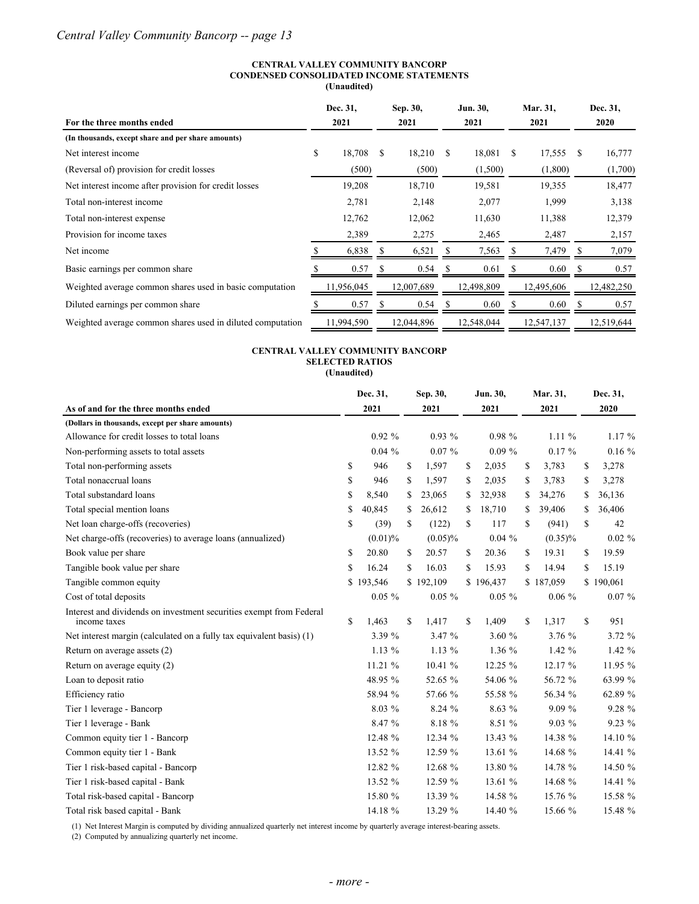#### **CENTRAL VALLEY COMMUNITY BANCORP CONDENSED CONSOLIDATED INCOME STATEMENTS (Unaudited)**

| For the three months ended                                 | Dec. 31,<br>2021 |    | Sep. 30,<br>2021 |   |            |              | Jun. 30,<br>2021 |    | Mar. 31,<br>2021 |  | Dec. 31,<br><b>2020</b> |
|------------------------------------------------------------|------------------|----|------------------|---|------------|--------------|------------------|----|------------------|--|-------------------------|
| (In thousands, except share and per share amounts)         |                  |    |                  |   |            |              |                  |    |                  |  |                         |
| Net interest income                                        | \$<br>18,708     | -S | 18,210           | S | 18,081     | <sup>S</sup> | 17,555           | S. | 16,777           |  |                         |
| (Reversal of) provision for credit losses                  | (500)            |    | (500)            |   | (1,500)    |              | (1,800)          |    | (1,700)          |  |                         |
| Net interest income after provision for credit losses      | 19,208           |    | 18,710           |   | 19,581     |              | 19,355           |    | 18,477           |  |                         |
| Total non-interest income                                  | 2,781            |    | 2,148            |   | 2,077      |              | 1,999            |    | 3,138            |  |                         |
| Total non-interest expense                                 | 12,762           |    | 12,062           |   | 11,630     |              | 11,388           |    | 12,379           |  |                         |
| Provision for income taxes                                 | 2,389            |    | 2,275            |   | 2,465      |              | 2,487            |    | 2,157            |  |                         |
| Net income                                                 | 6,838            |    | 6,521            |   | 7,563      |              | 7,479            | S  | 7,079            |  |                         |
| Basic earnings per common share                            | 0.57             |    | 0.54             |   | 0.61       |              | 0.60             |    | 0.57             |  |                         |
| Weighted average common shares used in basic computation   | 1,956,045        |    | 12,007,689       |   | 12,498,809 |              | 12,495,606       |    | 12,482,250       |  |                         |
| Diluted earnings per common share                          | 0.57             |    | 0.54             |   | 0.60       |              | 0.60             |    | 0.57             |  |                         |
| Weighted average common shares used in diluted computation | 11,994,590       |    | 12,044,896       |   | 12,548,044 |              | 12,547,137       |    | 12,519,644       |  |                         |

#### **CENTRAL VALLEY COMMUNITY BANCORP SELECTED RATIOS (Unaudited)**

|                                                                                     | Dec. 31,     | Sep. 30,     |    | Jun. 30,  |    | Mar. 31,   | Dec. 31,     |
|-------------------------------------------------------------------------------------|--------------|--------------|----|-----------|----|------------|--------------|
| As of and for the three months ended                                                | 2021         | 2021         |    | 2021      |    | 2021       | 2020         |
| (Dollars in thousands, except per share amounts)                                    |              |              |    |           |    |            |              |
| Allowance for credit losses to total loans                                          | $0.92\%$     | $0.93\%$     |    | $0.98 \%$ |    | $1.11\%$   | $1.17\%$     |
| Non-performing assets to total assets                                               | 0.04%        | $0.07 \%$    |    | $0.09\%$  |    | $0.17 \%$  | $0.16\%$     |
| Total non-performing assets                                                         | \$<br>946    | \$<br>1,597  | \$ | 2,035     | \$ | 3,783      | \$<br>3,278  |
| Total nonaccrual loans                                                              | \$<br>946    | \$<br>1,597  | \$ | 2,035     | \$ | 3,783      | \$<br>3,278  |
| Total substandard loans                                                             | \$<br>8,540  | \$<br>23,065 | \$ | 32,938    | \$ | 34,276     | \$<br>36,136 |
| Total special mention loans                                                         | \$<br>40,845 | \$<br>26,612 | \$ | 18,710    | \$ | 39,406     | \$<br>36,406 |
| Net loan charge-offs (recoveries)                                                   | \$<br>(39)   | \$<br>(122)  | \$ | 117       | \$ | (941)      | \$<br>42     |
| Net charge-offs (recoveries) to average loans (annualized)                          | $(0.01)\%$   | $(0.05)\%$   |    | $0.04\%$  |    | $(0.35)\%$ | $0.02 \%$    |
| Book value per share                                                                | \$<br>20.80  | \$<br>20.57  | S. | 20.36     | S. | 19.31      | \$<br>19.59  |
| Tangible book value per share                                                       | \$<br>16.24  | \$<br>16.03  | S. | 15.93     | \$ | 14.94      | \$<br>15.19  |
| Tangible common equity                                                              | \$193,546    | \$192,109    |    | \$196,437 |    | \$187,059  | \$190,061    |
| Cost of total deposits                                                              | $0.05 \%$    | $0.05 \%$    |    | $0.05 \%$ |    | $0.06 \%$  | $0.07 \%$    |
| Interest and dividends on investment securities exempt from Federal<br>income taxes | \$<br>1,463  | \$<br>1,417  | \$ | 1,409     | \$ | 1,317      | \$<br>951    |
| Net interest margin (calculated on a fully tax equivalent basis) (1)                | 3.39 %       | 3.47 %       |    | 3.60 %    |    | 3.76 %     | 3.72 %       |
| Return on average assets (2)                                                        | $1.13\%$     | $1.13\%$     |    | 1.36%     |    | $1.42\%$   | 1.42 %       |
| Return on average equity (2)                                                        | 11.21 %      | 10.41 %      |    | 12.25 %   |    | 12.17 %    | 11.95 %      |
| Loan to deposit ratio                                                               | 48.95 %      | 52.65 %      |    | 54.06 %   |    | 56.72 %    | 63.99 %      |
| Efficiency ratio                                                                    | 58.94 %      | 57.66 %      |    | 55.58 %   |    | 56.34 %    | 62.89 %      |
| Tier 1 leverage - Bancorp                                                           | 8.03 %       | 8.24 %       |    | 8.63 %    |    | 9.09%      | 9.28 %       |
| Tier 1 leverage - Bank                                                              | 8.47 %       | 8.18 %       |    | 8.51 %    |    | $9.03\%$   | $9.23\%$     |
| Common equity tier 1 - Bancorp                                                      | 12.48 %      | 12.34 %      |    | 13.43 %   |    | 14.38 %    | 14.10 %      |
| Common equity tier 1 - Bank                                                         | 13.52 %      | 12.59 %      |    | 13.61 %   |    | 14.68 %    | 14.41 %      |
| Tier 1 risk-based capital - Bancorp                                                 | 12.82 %      | 12.68 %      |    | 13.80 %   |    | 14.78 %    | 14.50 %      |
| Tier 1 risk-based capital - Bank                                                    | 13.52 %      | 12.59 %      |    | 13.61 %   |    | 14.68 %    | 14.41 %      |
| Total risk-based capital - Bancorp                                                  | 15.80 %      | 13.39 %      |    | 14.58 %   |    | 15.76 %    | 15.58 %      |
| Total risk based capital - Bank                                                     | 14.18 %      | 13.29 %      |    | 14.40 %   |    | 15.66 %    | 15.48 %      |

(1) Net Interest Margin is computed by dividing annualized quarterly net interest income by quarterly average interest-bearing assets.

(2) Computed by annualizing quarterly net income.